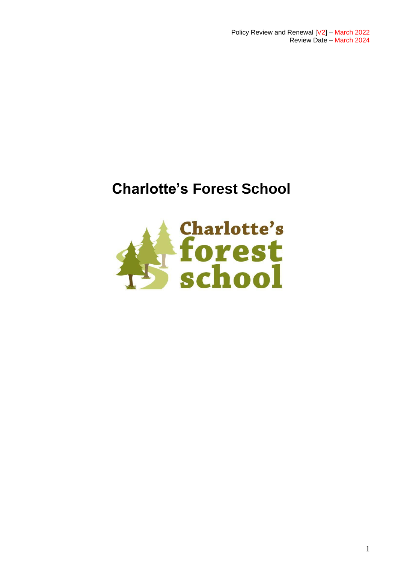Policy Review and Renewal [V2] – March 2022 Review Date – March 2024

## **Charlotte's Forest School**